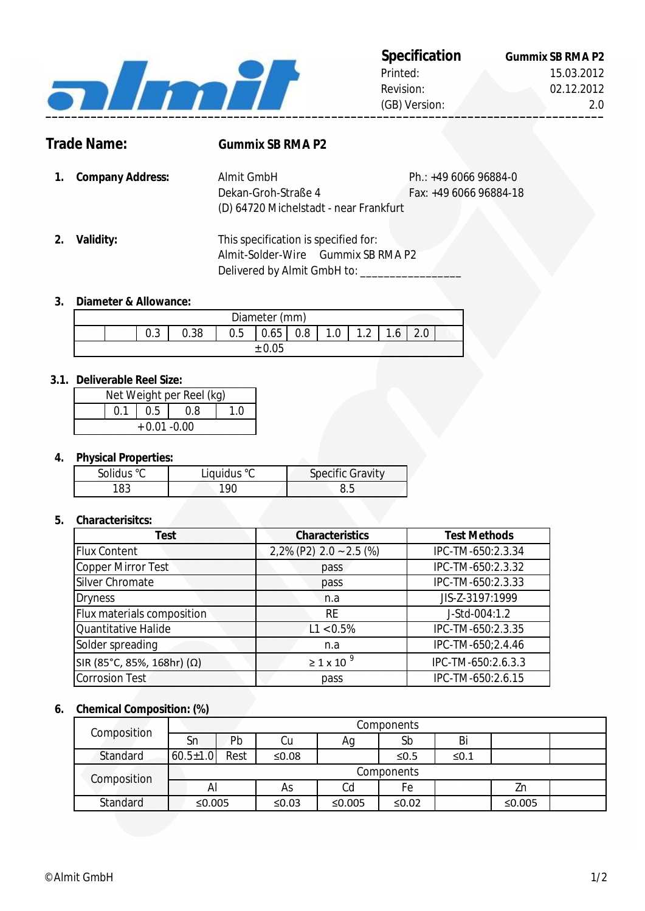

# **Trade Name: Gummix SB RMA P2**

- **1.** Ph.: +49 6066 96884-0 **Company Address:** Fax: +49 6066 96884-18 (D) 64720 Michelstadt - near Frankfurt Dekan-Groh-Straße 4 Almit GmbH
- **2. Validity:** Delivered by Almit GmbH to: \_\_\_\_\_\_\_\_\_ This specification is specified for: Almit-Solder-Wire Gummix SB RMA P2

### **3. Diameter & Allowance:**

| Diameter (mm) |  |          |      |     |        |         |     |                     |              |  |  |
|---------------|--|----------|------|-----|--------|---------|-----|---------------------|--------------|--|--|
|               |  | ⌒<br>v.J | 0.38 | U.5 | 0.65   | $0.8\,$ | 0.1 | 1 <sub>2</sub><br>. | $\mathbf{A}$ |  |  |
|               |  |          |      |     | ± 0.05 |         |     |                     |              |  |  |

#### **3.1. Deliverable Reel Size:**

| Net Weight per Reel (kg) |  |             |     |  |  |  |
|--------------------------|--|-------------|-----|--|--|--|
|                          |  | $0.1$   0.5 | 0.8 |  |  |  |
| $+0.01 - 0.00$           |  |             |     |  |  |  |

### **4. Physical Properties:**

| Solidus °C | Liquidus °C | <b>Specific Gravity</b> |
|------------|-------------|-------------------------|
| '83        | 90          |                         |

### **5. Characterisitcs:**

| <b>Test</b>                | <b>Characteristics</b>     | <b>Test Methods</b> |
|----------------------------|----------------------------|---------------------|
| <b>Flux Content</b>        | $2,2\%$ (P2) 2.0 ~ 2.5 (%) | IPC-TM-650:2.3.34   |
| Copper Mirror Test         | pass                       | IPC-TM-650:2.3.32   |
| Silver Chromate            | pass                       | IPC-TM-650:2.3.33   |
| <b>Dryness</b>             | n.a                        | JIS-Z-3197:1999     |
| Flux materials composition | <b>RE</b>                  | J-Std-004:1.2       |
| Quantitative Halide        | $L1 < 0.5\%$               | IPC-TM-650:2.3.35   |
| Solder spreading           | n.a                        | IPC-TM-650;2.4.46   |
| SIR (85°C, 85%, 168hr) (Ω) | $\geq$ 1 x 10 <sup>9</sup> | IPC-TM-650:2.6.3.3  |
| <b>Corrosion Test</b>      | pass                       | IPC-TM-650:2.6.15   |

#### **6. Chemical Composition: (%)**

| Composition | Components     |      |          |        |            |            |        |  |
|-------------|----------------|------|----------|--------|------------|------------|--------|--|
|             | Sn             | Pb   | Сu       | Ag     | Sb         | Bi         |        |  |
| Standard    | $60.5 \pm 1.0$ | Rest | ≤ $0.08$ |        | $\leq 0.5$ | $\leq 0.1$ |        |  |
|             | Components     |      |          |        |            |            |        |  |
| Composition | Al             |      | As       | Ca     | Fe         |            | Zn     |  |
| Standard    | ≤0.005         |      | ≤ $0.03$ | ≤0.005 | ≤ $0.02$   |            | ≤0.005 |  |